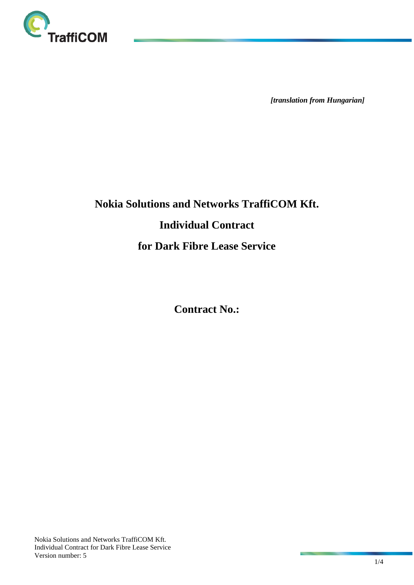

*[translation from Hungarian]*

# **Nokia Solutions and Networks TraffiCOM Kft. Individual Contract for Dark Fibre Lease Service**

**Contract No.:**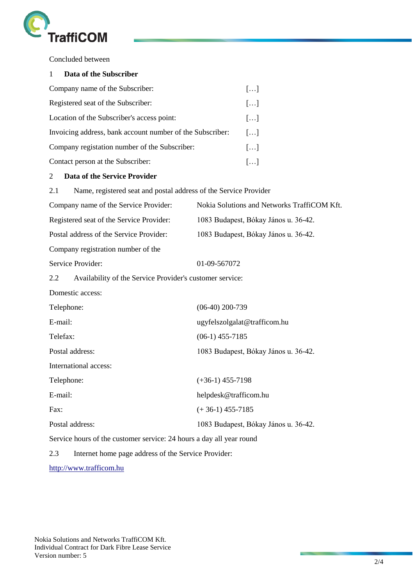

Concluded between

# 1 **Data of the Subscriber**

| Company name of the Subscriber:                           | $\left[\ldots\right]$ |
|-----------------------------------------------------------|-----------------------|
| Registered seat of the Subscriber:                        | $\left[\ldots\right]$ |
| Location of the Subscriber's access point:                | $\left[\ldots\right]$ |
| Invoicing address, bank account number of the Subscriber: | $\left[\ldots\right]$ |
| Company registation number of the Subscriber:             | $\left[\ldots\right]$ |
| Contact person at the Subscriber:                         | $\left[\ldots\right]$ |

# 2 **Data of the Service Provider**

| Name, registered seat and postal address of the Service Provider<br>2.1 |                                             |  |
|-------------------------------------------------------------------------|---------------------------------------------|--|
| Company name of the Service Provider:                                   | Nokia Solutions and Networks TraffiCOM Kft. |  |
| Registered seat of the Service Provider:                                | 1083 Budapest, Bókay János u. 36-42.        |  |
| Postal address of the Service Provider:                                 | 1083 Budapest, Bókay János u. 36-42.        |  |
| Company registration number of the                                      |                                             |  |
| Service Provider:                                                       | 01-09-567072                                |  |
| 2.2<br>Availability of the Service Provider's customer service:         |                                             |  |
| Domestic access:                                                        |                                             |  |
| Telephone:                                                              | $(06-40)$ 200-739                           |  |
| E-mail:                                                                 | ugyfelszolgalat@trafficom.hu                |  |
| Telefax:                                                                | $(06-1)$ 455-7185                           |  |
| Postal address:                                                         | 1083 Budapest, Bókay János u. 36-42.        |  |
| International access:                                                   |                                             |  |
| Telephone:                                                              | $(+36-1)$ 455-7198                          |  |
| E-mail:                                                                 | helpdesk@trafficom.hu                       |  |
| Fax:                                                                    | $(+36-1)$ 455-7185                          |  |
| Postal address:                                                         | 1083 Budapest, Bókay János u. 36-42.        |  |
| Service hours of the customer service: 24 hours a day all year round    |                                             |  |
|                                                                         |                                             |  |

2.3 Internet home page address of the Service Provider:

[http://www.trafficom.hu](http://www.trafficom.hu/)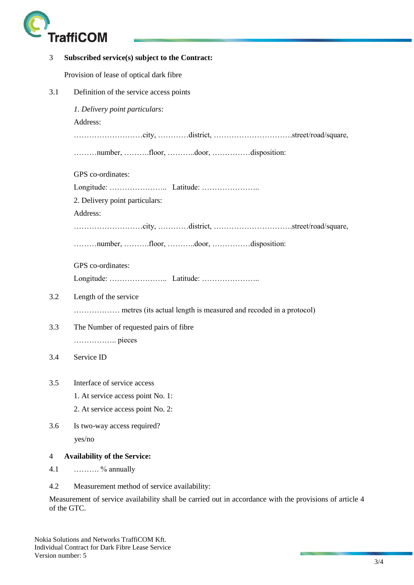

| 3              | Subscribed service(s) subject to the Contract:                   |
|----------------|------------------------------------------------------------------|
|                | Provision of lease of optical dark fibre                         |
| 3.1            | Definition of the service access points                          |
|                | 1. Delivery point particulars:                                   |
|                | Address:                                                         |
|                |                                                                  |
|                | number, floor, door, disposition:                                |
|                | GPS co-ordinates:                                                |
|                |                                                                  |
|                | 2. Delivery point particulars:                                   |
|                | Address:                                                         |
|                |                                                                  |
|                | number, floor, door, disposition:                                |
|                | GPS co-ordinates:                                                |
|                |                                                                  |
| 3.2            | Length of the service                                            |
|                | metres (its actual length is measured and recoded in a protocol) |
| 3.3            | The Number of requested pairs of fibre                           |
|                |                                                                  |
| 3.4            | Service ID                                                       |
| 3.5            | Interface of service access                                      |
|                | 1. At service access point No. 1:                                |
|                | 2. At service access point No. 2:                                |
| 3.6            | Is two-way access required?                                      |
|                | yes/no                                                           |
| $\overline{4}$ | <b>Availability of the Service:</b>                              |
| 4.1            | $\ldots$ % annually                                              |
| 4.2            | Measurement method of service availability:                      |

Measurement of service availability shall be carried out in accordance with the provisions of article 4 of the GTC.